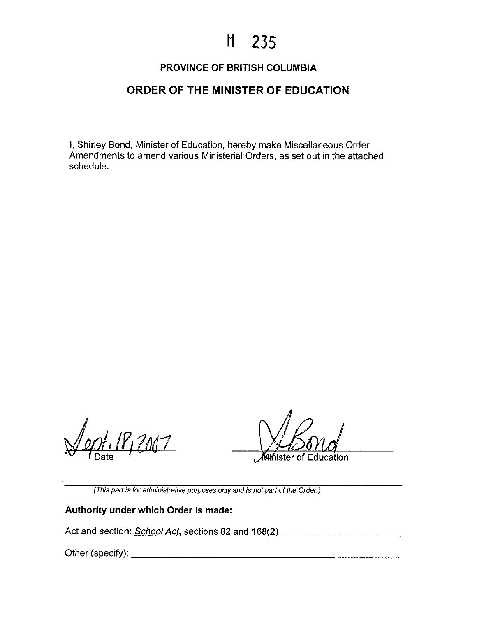# **M 235**

## **PROVINCE OF BRITISH COLUMBIA**

## **ORDER OF THE MINISTER OF EDUCATION**

I, Shirley Bond, Minister of Education, hereby make Miscellaneous Order Amendments to amend various Ministerial Orders, as set out in the attached schedule.

Jept. 18, 2007 Date '

*K*¥inister of Education

(This part is for administrative purposes only and is not part of the Order.)

### **Authority under which Order is made:**

Act and section: *School Act*, sections 82 and 168(2)

Other (specify): \_\_\_\_\_\_\_\_\_\_\_\_\_\_\_\_\_\_\_\_ \_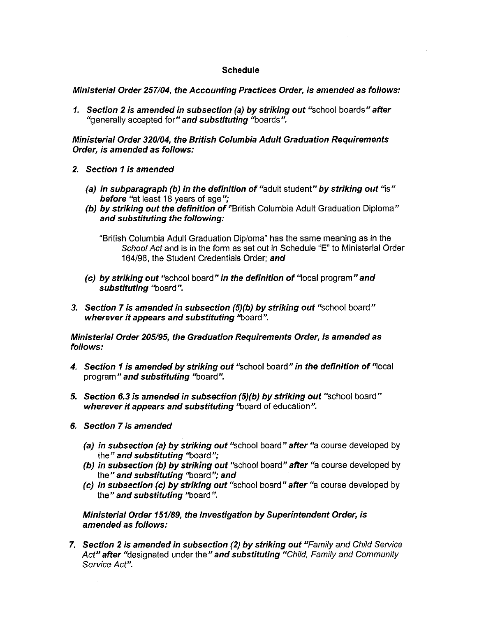#### **Schedule**

**Ministerial Order 257104, the Accounting Practices Order, is amended as follows:** 

**1. Section 2 is amended in subsection (a) by striking out** "school boards" **after**  "generally accepted for" **and substituting** "boards".

**Ministerial Order 320/04, the British Columbia Adult Graduation Requirements Order, is amended as follows:** 

- **2. Section 1 is amended** 
	- **(a) in subparagraph (b) in the definition of** "adult student" **by striking out** "is" **before** "at least 18 years of age":
	- **(b) by striking out the definition of** "British Columbia Adult Graduation Diploma" **and substituting the following:**

"British Columbia Adult Graduation Diploma" has the same meaning as in the School Act and is in the form as set out in Schedule "E" to Ministerial Order 164196, the Student Credentials Order; **and** 

- **(c) by striking out** "school board" **in the definition of** '4ocal program" **and substituting** "board".
- **3. Section 7 is amended in subsection (5)(b) by striking out** "school board" **wherever it appears and substituting** "board".

**Ministerial Order 205/95, the Graduation Requirements Order, is amended as follows:** 

- **4. Section 1 is amended by striking out** "school board" **in the definition of** '4ocal program" **and substituting** "board".
- **5. Section 6.3 is amended in subsection (5)(b) by striking out** "school board" **wherever it appears and substituting** "board of education".
- **6. Section 7 is amended** 
	- **(a) in subsection (a) by striking out** "school board" **after** "a course developed by the" **and substituting** "board";
	- **(b) in subsection (b) by striking out** "school board" **after** "a course developed by the" **and substituting** "board"; **and**
	- **(c) in subsection (c) by striking out** "school board" **after** "a course developed by the" **and substituting** "board".

**Ministerial Order 151/89, the Investigation by Superintendent Order, is amended as follows:** 

**7. Section 2 is amended in subsection (2) by striking out** "Family and Child Service Act" **after** "designated under the" **and substituting** "Child, Family and Community Service Act".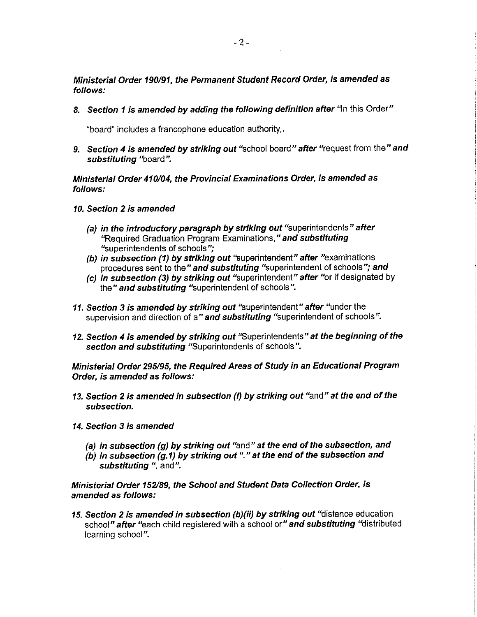**Ministerial Order 190/91, the Permanent Student Record Order, is amended as follows:** 

**8. Section 1 is amended by adding the following definition after** '4n this Order"

"board" includes a francophone education authority,.

**9. Section 4 is amended by striking out** "school board" **after** "request from the" **and substituting** "board".

**Ministerial Order 410/04, the Provincial Examinations Order, is amended as follows:** 

- **10. Section 2 is amended** 
	- **(a) in the introductory paragraph by striking out** "superintendents" **after**  "Required Graduation Program Examinations," **and substituting**  "superintendents of schools";
	- **(b) in subsection (1) by striking out** "superintendent" **after** "examinations procedures sent to the" **and substituting** "superintendent of schools"; **and**
	- **(c) in subsection (3) by striking out** "superintendent" **after** "or if designated by the" **and substituting** "superintendent of schools".
- **11. Section 3 is amended by striking out** "superintendent" **after** "under the supervision and direction of a" **and substituting** "superintendent of schools".
- **12. Section 4 is amended by striking out** "Superintendents" **at the beginning of the section and substituting** "Superintendents of schools".

**Ministerial Order 295/95, the Required Areas of Study in an Educational Program Order, is amended as follows:** 

- **13. Section 2 is amended in subsection (f) by striking out** "and" **at the end of the subsection.**
- **14. Section 3 is amended** 
	- **(a) in subsection (g) by striking out** "and" **at the end of the subsection, and**
	- **(b) in subsection (g.1) by striking out"." at the end of the subsection and substituting** ", and".

**Ministerial Order 152189, the School and Student Data Collection Order, is amended as follows:** 

**15. Section 2 is amended in subsection (b)(ii) by striking out** "distance education school" **after** "each child registered with a school or" **and substituting** "distributed learning school".